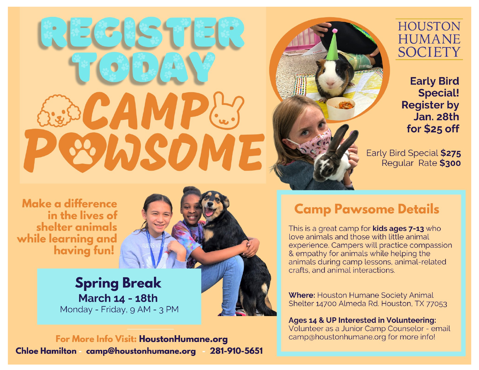



## **HOUSTON HUMANE SOCIETY**

**Early Bird Special! Register by** Jan. 28th for  $$25$  off

Early Bird Special \$275 Regular Rate \$300

**Make a difference** in the lives of shelter animals while learning and having fun!

### **Spring Break March 14 - 18th** Monday - Friday, 9 AM - 3 PM



# **Camp Pawsome Details**

This is a great camp for **kids ages 7-13** who love animals and those with little animal experience. Campers will practice compassion & empathy for animals while helping the animals during camp lessons, animal-related crafts, and animal interactions.

**Where: Houston Humane Society Animal** Shelter 14700 Almeda Rd. Houston, TX 77053

Ages 14 & UP Interested in Volunteering:

Volunteer as a Junior Camp Counselor - email camp@houstonhumane.org for more info!

For More Info Visit: HoustonHumane.org 281-910-5651 **Chloe Hamilton** camp@houstonhumane.org